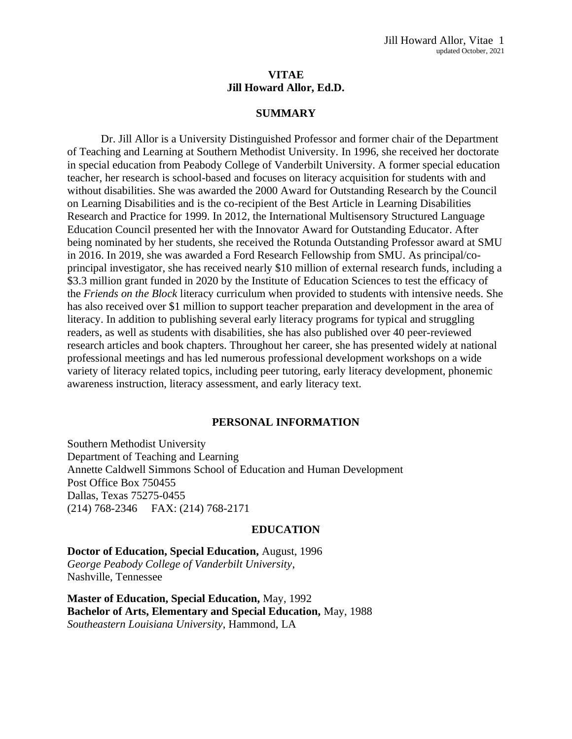# **VITAE Jill Howard Allor, Ed.D.**

#### **SUMMARY**

Dr. Jill Allor is a University Distinguished Professor and former chair of the Department of Teaching and Learning at Southern Methodist University. In 1996, she received her doctorate in special education from Peabody College of Vanderbilt University. A former special education teacher, her research is school-based and focuses on literacy acquisition for students with and without disabilities. She was awarded the 2000 Award for Outstanding Research by the Council on Learning Disabilities and is the co-recipient of the Best Article in Learning Disabilities Research and Practice for 1999. In 2012, the International Multisensory Structured Language Education Council presented her with the Innovator Award for Outstanding Educator. After being nominated by her students, she received the Rotunda Outstanding Professor award at SMU in 2016. In 2019, she was awarded a Ford Research Fellowship from SMU. As principal/coprincipal investigator, she has received nearly \$10 million of external research funds, including a \$3.3 million grant funded in 2020 by the Institute of Education Sciences to test the efficacy of the *Friends on the Block* literacy curriculum when provided to students with intensive needs. She has also received over \$1 million to support teacher preparation and development in the area of literacy. In addition to publishing several early literacy programs for typical and struggling readers, as well as students with disabilities, she has also published over 40 peer-reviewed research articles and book chapters. Throughout her career, she has presented widely at national professional meetings and has led numerous professional development workshops on a wide variety of literacy related topics, including peer tutoring, early literacy development, phonemic awareness instruction, literacy assessment, and early literacy text.

#### **PERSONAL INFORMATION**

Southern Methodist University Department of Teaching and Learning Annette Caldwell Simmons School of Education and Human Development Post Office Box 750455 Dallas, Texas 75275-0455 (214) 768-2346 FAX: (214) 768-2171

#### **EDUCATION**

**Doctor of Education, Special Education,** August, 1996 *George Peabody College of Vanderbilt University*, Nashville, Tennessee

**Master of Education, Special Education,** May, 1992 **Bachelor of Arts, Elementary and Special Education,** May, 1988 *Southeastern Louisiana University*, Hammond, LA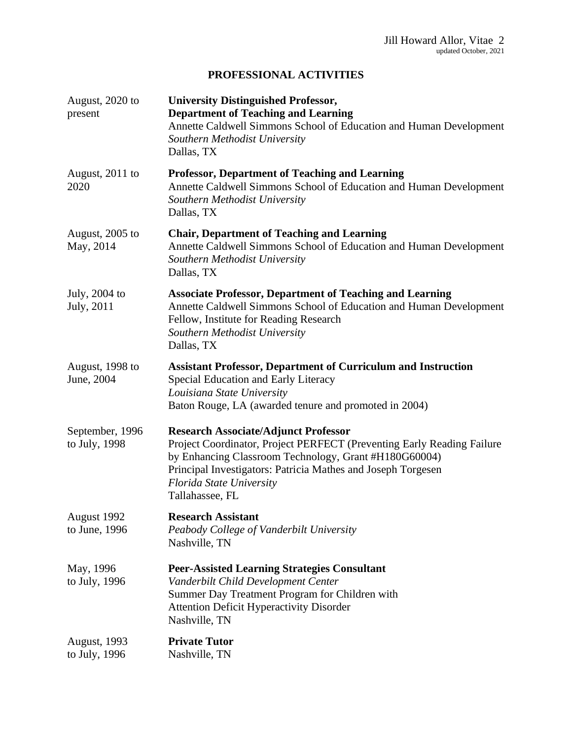# **PROFESSIONAL ACTIVITIES**

| August, 2020 to<br>present           | <b>University Distinguished Professor,</b><br><b>Department of Teaching and Learning</b><br>Annette Caldwell Simmons School of Education and Human Development<br>Southern Methodist University<br>Dallas, TX                                                                                 |
|--------------------------------------|-----------------------------------------------------------------------------------------------------------------------------------------------------------------------------------------------------------------------------------------------------------------------------------------------|
| August, 2011 to<br>2020              | <b>Professor, Department of Teaching and Learning</b><br>Annette Caldwell Simmons School of Education and Human Development<br>Southern Methodist University<br>Dallas, TX                                                                                                                    |
| August, 2005 to<br>May, 2014         | <b>Chair, Department of Teaching and Learning</b><br>Annette Caldwell Simmons School of Education and Human Development<br>Southern Methodist University<br>Dallas, TX                                                                                                                        |
| July, 2004 to<br>July, 2011          | <b>Associate Professor, Department of Teaching and Learning</b><br>Annette Caldwell Simmons School of Education and Human Development<br>Fellow, Institute for Reading Research<br>Southern Methodist University<br>Dallas, TX                                                                |
| August, 1998 to<br>June, 2004        | <b>Assistant Professor, Department of Curriculum and Instruction</b><br>Special Education and Early Literacy<br>Louisiana State University<br>Baton Rouge, LA (awarded tenure and promoted in 2004)                                                                                           |
| September, 1996<br>to July, 1998     | <b>Research Associate/Adjunct Professor</b><br>Project Coordinator, Project PERFECT (Preventing Early Reading Failure<br>by Enhancing Classroom Technology, Grant #H180G60004)<br>Principal Investigators: Patricia Mathes and Joseph Torgesen<br>Florida State University<br>Tallahassee, FL |
| August 1992<br>to June, 1996         | <b>Research Assistant</b><br>Peabody College of Vanderbilt University<br>Nashville, TN                                                                                                                                                                                                        |
| May, 1996<br>to July, 1996           | <b>Peer-Assisted Learning Strategies Consultant</b><br>Vanderbilt Child Development Center<br>Summer Day Treatment Program for Children with<br>Attention Deficit Hyperactivity Disorder<br>Nashville, TN                                                                                     |
| <b>August, 1993</b><br>to July, 1996 | <b>Private Tutor</b><br>Nashville, TN                                                                                                                                                                                                                                                         |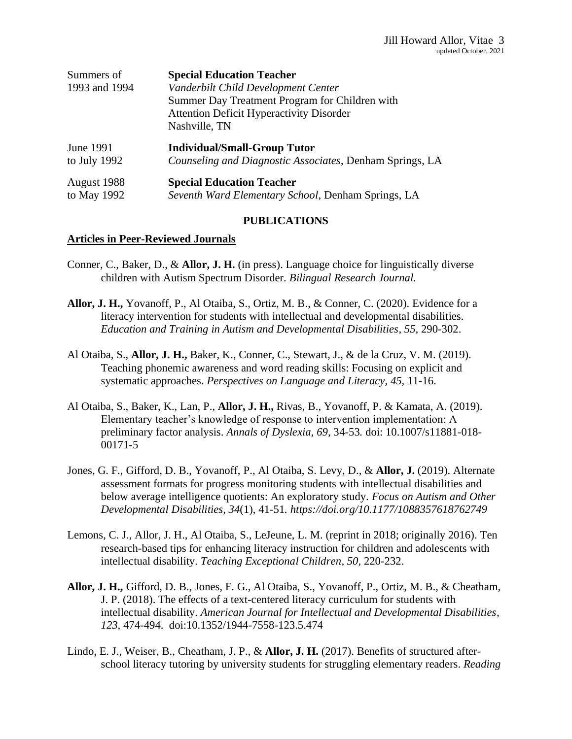| Summers of    | <b>Special Education Teacher</b>                         |
|---------------|----------------------------------------------------------|
| 1993 and 1994 | Vanderbilt Child Development Center                      |
|               | Summer Day Treatment Program for Children with           |
|               | <b>Attention Deficit Hyperactivity Disorder</b>          |
|               | Nashville, TN                                            |
| June 1991     | <b>Individual/Small-Group Tutor</b>                      |
| to July 1992  | Counseling and Diagnostic Associates, Denham Springs, LA |
| August 1988   | <b>Special Education Teacher</b>                         |
| to May 1992   | Seventh Ward Elementary School, Denham Springs, LA       |

# **PUBLICATIONS**

#### **Articles in Peer-Reviewed Journals**

- Conner, C., Baker, D., & **Allor, J. H.** (in press). Language choice for linguistically diverse children with Autism Spectrum Disorder. *Bilingual Research Journal.*
- **Allor, J. H.,** Yovanoff, P., Al Otaiba, S., Ortiz, M. B., & Conner, C. (2020). Evidence for a literacy intervention for students with intellectual and developmental disabilities. *Education and Training in Autism and Developmental Disabilities, 55,* 290-302.
- Al Otaiba, S., **Allor, J. H.,** Baker, K., Conner, C., Stewart, J., & de la Cruz, V. M. (2019). Teaching phonemic awareness and word reading skills: Focusing on explicit and systematic approaches. *Perspectives on Language and Literacy*, *45*, 11-16.
- Al Otaiba, S., Baker, K., Lan, P., **Allor, J. H.,** Rivas, B., Yovanoff, P. & Kamata, A. (2019). Elementary teacher's knowledge of response to intervention implementation: A preliminary factor analysis. *Annals of Dyslexia, 69,* 34-53*.* doi: 10.1007/s11881-018- 00171-5
- Jones, G. F., Gifford, D. B., Yovanoff, P., Al Otaiba, S. Levy, D., & **Allor, J.** (2019). Alternate assessment formats for progress monitoring students with intellectual disabilities and below average intelligence quotients: An exploratory study. *Focus on Autism and Other Developmental Disabilities, 34*(1), 41-51*. https://doi.org/10.1177/1088357618762749*
- Lemons, C. J., Allor, J. H., Al Otaiba, S., LeJeune, L. M. (reprint in 2018; originally 2016). Ten research-based tips for enhancing literacy instruction for children and adolescents with intellectual disability. *Teaching Exceptional Children, 50,* 220-232.
- **Allor, J. H.,** Gifford, D. B., Jones, F. G., Al Otaiba, S., Yovanoff, P., Ortiz, M. B., & Cheatham, J. P. (2018). The effects of a text-centered literacy curriculum for students with intellectual disability. *American Journal for Intellectual and Developmental Disabilities, 123,* 474-494. doi:10.1352/1944-7558-123.5.474
- Lindo, E. J., Weiser, B., Cheatham, J. P., & **Allor, J. H.** (2017). Benefits of structured afterschool literacy tutoring by university students for struggling elementary readers. *Reading*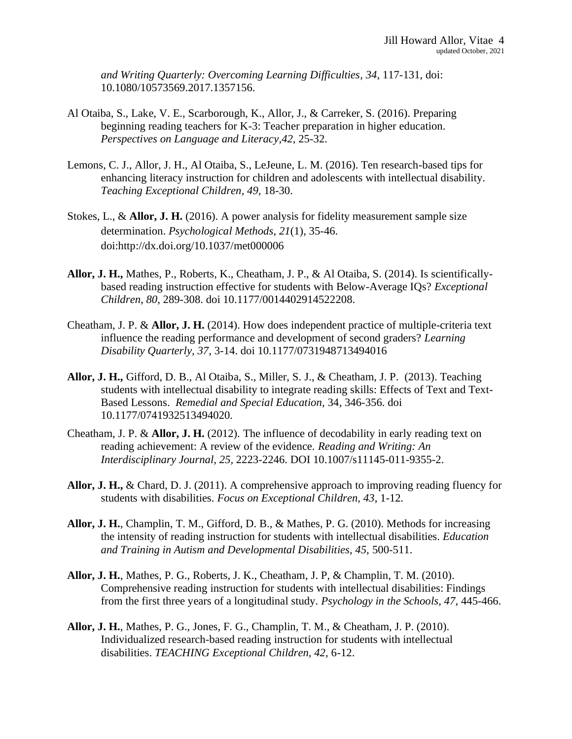*and Writing Quarterly: Overcoming Learning Difficulties, 34*, 117-131, doi: 10.1080/10573569.2017.1357156.

- Al Otaiba, S., Lake, V. E., Scarborough, K., Allor, J., & Carreker, S. (2016). Preparing beginning reading teachers for K-3: Teacher preparation in higher education. *Perspectives on Language and Literacy,42,* 25-32.
- Lemons, C. J., Allor, J. H., Al Otaiba, S., LeJeune, L. M. (2016). Ten research-based tips for enhancing literacy instruction for children and adolescents with intellectual disability. *Teaching Exceptional Children, 49,* 18-30.
- Stokes, L., & **Allor, J. H.** (2016). A power analysis for fidelity measurement sample size determination. *Psychological Methods*, *21*(1), 35-46. doi:http://dx.doi.org/10.1037/met000006
- **Allor, J. H.,** Mathes, P., Roberts, K., Cheatham, J. P., & Al Otaiba, S. (2014). Is scientificallybased reading instruction effective for students with Below-Average IQs? *Exceptional Children*, *80*, 289-308. doi 10.1177/0014402914522208.
- Cheatham, J. P. & **Allor, J. H.** (2014). How does independent practice of multiple-criteria text influence the reading performance and development of second graders? *Learning Disability Quarterly, 37,* 3-14. doi 10.1177/0731948713494016
- **Allor, J. H.,** Gifford, D. B., Al Otaiba, S., Miller, S. J., & Cheatham, J. P. (2013). Teaching students with intellectual disability to integrate reading skills: Effects of Text and Text-Based Lessons. *Remedial and Special Education*, 34, 346-356. doi 10.1177/0741932513494020.
- Cheatham, J. P. & **Allor, J. H.** (2012). The influence of decodability in early reading text on reading achievement: A review of the evidence. *Reading and Writing: An Interdisciplinary Journal, 25,* 2223-2246. DOI 10.1007/s11145-011-9355-2.
- **Allor, J. H.,** & Chard, D. J. (2011). A comprehensive approach to improving reading fluency for students with disabilities. *Focus on Exceptional Children, 43*, 1-12*.*
- **Allor, J. H.**, Champlin, T. M., Gifford, D. B., & Mathes, P. G. (2010). Methods for increasing the intensity of reading instruction for students with intellectual disabilities. *Education and Training in Autism and Developmental Disabilities, 45,* 500-511.
- **Allor, J. H.**, Mathes, P. G., Roberts, J. K., Cheatham, J. P, & Champlin, T. M. (2010). Comprehensive reading instruction for students with intellectual disabilities: Findings from the first three years of a longitudinal study. *Psychology in the Schools, 47*, 445-466.
- **Allor, J. H.**, Mathes, P. G., Jones, F. G., Champlin, T. M., & Cheatham, J. P. (2010). Individualized research-based reading instruction for students with intellectual disabilities. *TEACHING Exceptional Children, 42,* 6-12.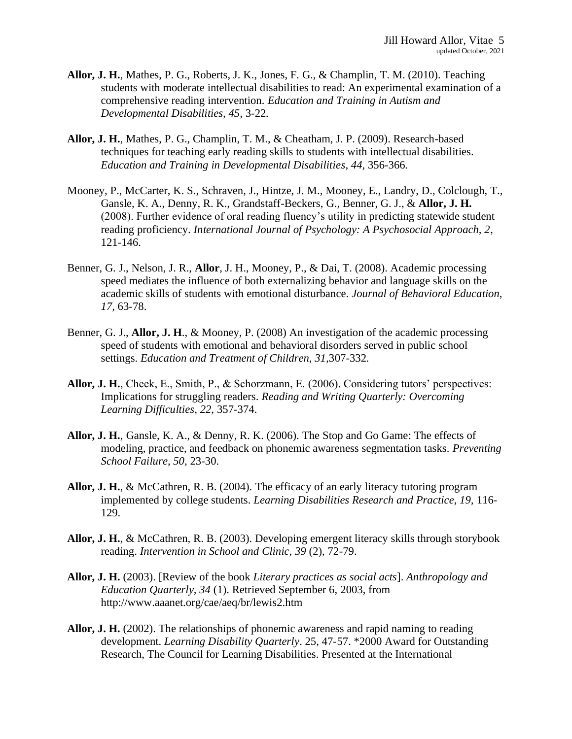- **Allor, J. H.**, Mathes, P. G., Roberts, J. K., Jones, F. G., & Champlin, T. M. (2010). Teaching students with moderate intellectual disabilities to read: An experimental examination of a comprehensive reading intervention. *Education and Training in Autism and Developmental Disabilities, 45,* 3-22*.*
- **Allor, J. H.**, Mathes, P. G., Champlin, T. M., & Cheatham, J. P. (2009). Research-based techniques for teaching early reading skills to students with intellectual disabilities. *Education and Training in Developmental Disabilities, 44,* 356-366*.*
- Mooney, P., McCarter, K. S., Schraven, J., Hintze, J. M., Mooney, E., Landry, D., Colclough, T., Gansle, K. A., Denny, R. K., Grandstaff-Beckers, G., Benner, G. J., & **Allor, J. H.** (2008). Further evidence of oral reading fluency's utility in predicting statewide student reading proficiency. *International Journal of Psychology: A Psychosocial Approach, 2*, 121-146.
- Benner, G. J., Nelson, J. R., **Allor**, J. H., Mooney, P., & Dai, T. (2008). Academic processing speed mediates the influence of both externalizing behavior and language skills on the academic skills of students with emotional disturbance. *Journal of Behavioral Education, 17,* 63-78.
- Benner, G. J., **Allor, J. H**., & Mooney, P. (2008) An investigation of the academic processing speed of students with emotional and behavioral disorders served in public school settings. *Education and Treatment of Children, 31,*307-332*.*
- **Allor, J. H.**, Cheek, E., Smith, P., & Schorzmann, E. (2006). Considering tutors' perspectives: Implications for struggling readers. *Reading and Writing Quarterly: Overcoming Learning Difficulties, 22,* 357-374.
- **Allor, J. H.**, Gansle, K. A., & Denny, R. K. (2006). The Stop and Go Game: The effects of modeling, practice, and feedback on phonemic awareness segmentation tasks. *Preventing School Failure, 50,* 23-30.
- **Allor, J. H.**, & McCathren, R. B. (2004). The efficacy of an early literacy tutoring program implemented by college students. *Learning Disabilities Research and Practice, 19,* 116- 129.
- **Allor, J. H.**, & McCathren, R. B. (2003). Developing emergent literacy skills through storybook reading. *Intervention in School and Clinic, 39* (2), 72-79.
- **Allor, J. H.** (2003). [Review of the book *Literary practices as social acts*]. *Anthropology and Education Quarterly, 34* (1). Retrieved September 6, 2003, from http://www.aaanet.org/cae/aeq/br/lewis2.htm
- **Allor, J. H.** (2002). The relationships of phonemic awareness and rapid naming to reading development. *Learning Disability Quarterly*. 25, 47-57. \*2000 Award for Outstanding Research, The Council for Learning Disabilities. Presented at the International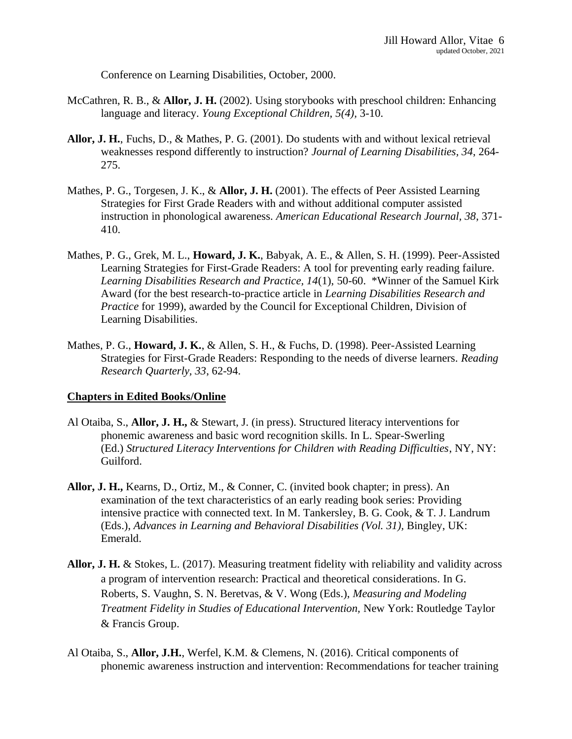Conference on Learning Disabilities, October, 2000.

- McCathren, R. B., & **Allor, J. H.** (2002). Using storybooks with preschool children: Enhancing language and literacy. *Young Exceptional Children, 5(4),* 3-10.
- **Allor, J. H.**, Fuchs, D., & Mathes, P. G. (2001). Do students with and without lexical retrieval weaknesses respond differently to instruction? *Journal of Learning Disabilities, 34*, 264- 275.
- Mathes, P. G., Torgesen, J. K., & **Allor, J. H.** (2001). The effects of Peer Assisted Learning Strategies for First Grade Readers with and without additional computer assisted instruction in phonological awareness. *American Educational Research Journal, 38*, 371- 410.
- Mathes, P. G., Grek, M. L., **Howard, J. K.**, Babyak, A. E., & Allen, S. H. (1999). Peer-Assisted Learning Strategies for First-Grade Readers: A tool for preventing early reading failure. *Learning Disabilities Research and Practice, 14*(1), 50-60. \*Winner of the Samuel Kirk Award (for the best research-to-practice article in *Learning Disabilities Research and Practice* for 1999), awarded by the Council for Exceptional Children, Division of Learning Disabilities.
- Mathes, P. G., **Howard, J. K.**, & Allen, S. H., & Fuchs, D. (1998). Peer-Assisted Learning Strategies for First-Grade Readers: Responding to the needs of diverse learners. *Reading Research Quarterly, 33*, 62-94.

# **Chapters in Edited Books/Online**

- Al Otaiba, S., **Allor, J. H.,** & Stewart, J. (in press). Structured literacy interventions for phonemic awareness and basic word recognition skills. In L. Spear-Swerling (Ed.) *Structured Literacy Interventions for Children with Reading Difficulties*, NY, NY: Guilford.
- **Allor, J. H.,** Kearns, D., Ortiz, M., & Conner, C. (invited book chapter; in press). An examination of the text characteristics of an early reading book series: Providing intensive practice with connected text. In M. Tankersley, B. G. Cook, & T. J. Landrum (Eds.), *Advances in Learning and Behavioral Disabilities (Vol. 31),* Bingley, UK: Emerald.
- **Allor, J. H.** & Stokes, L. (2017). Measuring treatment fidelity with reliability and validity across a program of intervention research: Practical and theoretical considerations. In G. Roberts, S. Vaughn, S. N. Beretvas, & V. Wong (Eds.), *Measuring and Modeling Treatment Fidelity in Studies of Educational Intervention,* New York: Routledge Taylor & Francis Group.
- Al Otaiba, S., **Allor, J.H.**, Werfel, K.M. & Clemens, N. (2016). Critical components of phonemic awareness instruction and intervention: Recommendations for teacher training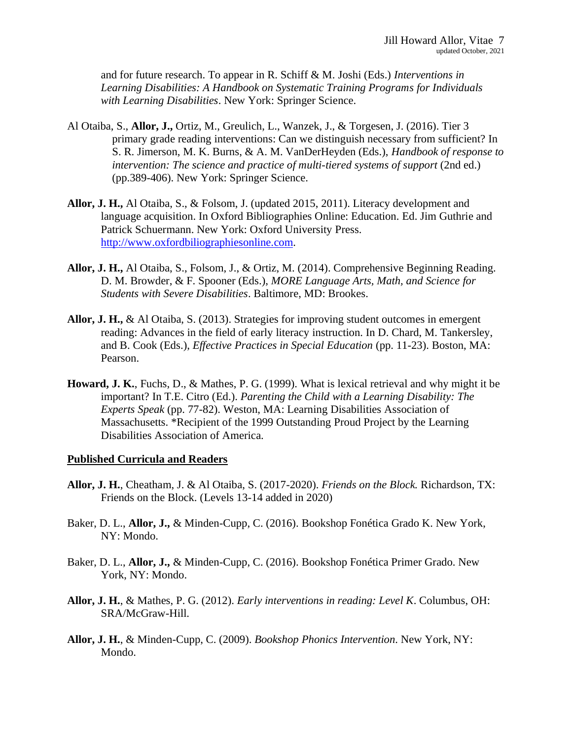and for future research. To appear in R. Schiff & M. Joshi (Eds.) *Interventions in Learning Disabilities: A Handbook on Systematic Training Programs for Individuals with Learning Disabilities*. New York: Springer Science.

- Al Otaiba, S., **Allor, J.,** Ortiz, M., Greulich, L., Wanzek, J., & Torgesen, J. (2016). Tier 3 primary grade reading interventions: Can we distinguish necessary from sufficient? In S. R. Jimerson, M. K. Burns, & A. M. VanDerHeyden (Eds.), *Handbook of response to intervention: The science and practice of multi-tiered systems of support* (2nd ed.) (pp.389-406). New York: Springer Science.
- **Allor, J. H.,** Al Otaiba, S., & Folsom, J. (updated 2015, 2011). Literacy development and language acquisition. In Oxford Bibliographies Online: Education. Ed. Jim Guthrie and Patrick Schuermann. New York: Oxford University Press. [http://www.oxfordbiliographiesonline.com.](http://www.oxfordbiliographiesonline.com/)
- **Allor, J. H.,** Al Otaiba, S., Folsom, J., & Ortiz, M. (2014). Comprehensive Beginning Reading. D. M. Browder, & F. Spooner (Eds.), *MORE Language Arts, Math, and Science for Students with Severe Disabilities*. Baltimore, MD: Brookes.
- **Allor, J. H.,** & Al Otaiba, S. (2013). Strategies for improving student outcomes in emergent reading: Advances in the field of early literacy instruction. In D. Chard, M. Tankersley, and B. Cook (Eds.), *Effective Practices in Special Education* (pp. 11-23). Boston, MA: Pearson.
- **Howard, J. K.**, Fuchs, D., & Mathes, P. G. (1999). What is lexical retrieval and why might it be important? In T.E. Citro (Ed.). *Parenting the Child with a Learning Disability: The Experts Speak* (pp. 77-82). Weston, MA: Learning Disabilities Association of Massachusetts. \*Recipient of the 1999 Outstanding Proud Project by the Learning Disabilities Association of America.

#### **Published Curricula and Readers**

- **Allor, J. H.**, Cheatham, J. & Al Otaiba, S. (2017-2020). *Friends on the Block.* Richardson, TX: Friends on the Block. (Levels 13-14 added in 2020)
- Baker, D. L., **Allor, J.,** & Minden-Cupp, C. (2016). Bookshop Fonética Grado K. New York, NY: Mondo.
- Baker, D. L., **Allor, J.,** & Minden-Cupp, C. (2016). Bookshop Fonética Primer Grado. New York, NY: Mondo.
- **Allor, J. H.**, & Mathes, P. G. (2012). *Early interventions in reading: Level K*. Columbus, OH: SRA/McGraw-Hill.
- **Allor, J. H.**, & Minden-Cupp, C. (2009). *Bookshop Phonics Intervention*. New York, NY: Mondo.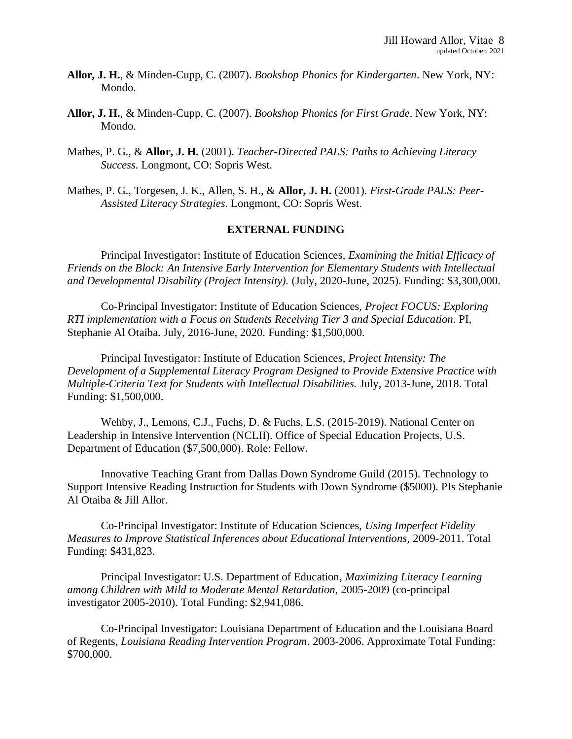- **Allor, J. H.**, & Minden-Cupp, C. (2007). *Bookshop Phonics for Kindergarten*. New York, NY: Mondo.
- **Allor, J. H.**, & Minden-Cupp, C. (2007). *Bookshop Phonics for First Grade*. New York, NY: Mondo.
- Mathes, P. G., & **Allor, J. H.** (2001). *Teacher-Directed PALS: Paths to Achieving Literacy Success.* Longmont, CO: Sopris West.
- Mathes, P. G., Torgesen, J. K., Allen, S. H., & **Allor, J. H.** (2001). *First-Grade PALS: Peer-Assisted Literacy Strategies.* Longmont, CO: Sopris West.

#### **EXTERNAL FUNDING**

Principal Investigator: Institute of Education Sciences, *Examining the Initial Efficacy of Friends on the Block: An Intensive Early Intervention for Elementary Students with Intellectual and Developmental Disability (Project Intensity).* (July, 2020-June, 2025). Funding: \$3,300,000.

Co-Principal Investigator: Institute of Education Sciences, *Project FOCUS: Exploring RTI implementation with a Focus on Students Receiving Tier 3 and Special Education*. PI, Stephanie Al Otaiba. July, 2016-June, 2020. Funding: \$1,500,000.

Principal Investigator: Institute of Education Sciences, *Project Intensity: The Development of a Supplemental Literacy Program Designed to Provide Extensive Practice with Multiple-Criteria Text for Students with Intellectual Disabilities.* July, 2013-June, 2018. Total Funding: \$1,500,000.

Wehby, J., Lemons, C.J., Fuchs, D. & Fuchs, L.S. (2015-2019). National Center on Leadership in Intensive Intervention (NCLII). Office of Special Education Projects, U.S. Department of Education (\$7,500,000). Role: Fellow.

Innovative Teaching Grant from Dallas Down Syndrome Guild (2015). Technology to Support Intensive Reading Instruction for Students with Down Syndrome (\$5000). PIs Stephanie Al Otaiba & Jill Allor.

Co-Principal Investigator: Institute of Education Sciences, *Using Imperfect Fidelity Measures to Improve Statistical Inferences about Educational Interventions,* 2009-2011. Total Funding: \$431,823.

Principal Investigator: U.S. Department of Education, *Maximizing Literacy Learning among Children with Mild to Moderate Mental Retardation,* 2005-2009 (co-principal investigator 2005-2010). Total Funding: \$2,941,086.

Co-Principal Investigator: Louisiana Department of Education and the Louisiana Board of Regents, *Louisiana Reading Intervention Program*. 2003-2006. Approximate Total Funding: \$700,000.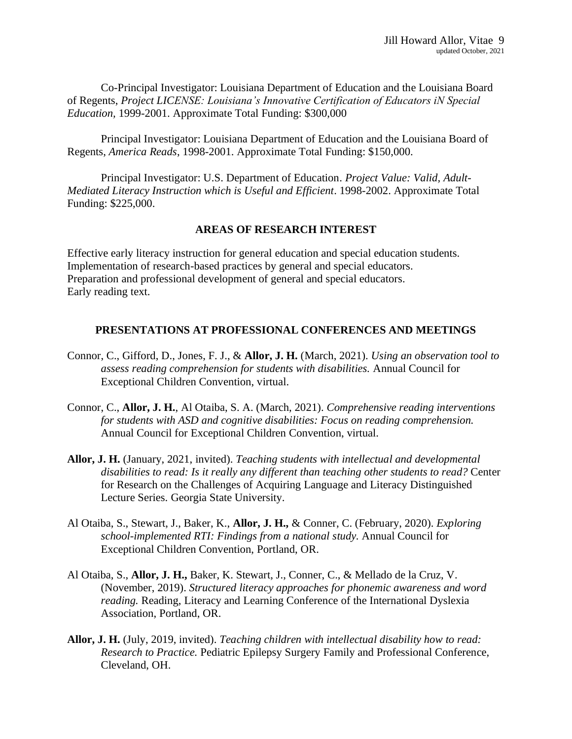Co-Principal Investigator: Louisiana Department of Education and the Louisiana Board of Regents, *Project LICENSE: Louisiana's Innovative Certification of Educators iN Special Education,* 1999-2001. Approximate Total Funding: \$300,000

Principal Investigator: Louisiana Department of Education and the Louisiana Board of Regents, *America Reads*, 1998-2001. Approximate Total Funding: \$150,000.

Principal Investigator: U.S. Department of Education. *Project Value: Valid, Adult-Mediated Literacy Instruction which is Useful and Efficient*. 1998-2002. Approximate Total Funding: \$225,000.

## **AREAS OF RESEARCH INTEREST**

Effective early literacy instruction for general education and special education students. Implementation of research-based practices by general and special educators. Preparation and professional development of general and special educators. Early reading text.

## **PRESENTATIONS AT PROFESSIONAL CONFERENCES AND MEETINGS**

- Connor, C., Gifford, D., Jones, F. J., & **Allor, J. H.** (March, 2021). *Using an observation tool to assess reading comprehension for students with disabilities.* Annual Council for Exceptional Children Convention, virtual.
- Connor, C., **Allor, J. H.**, Al Otaiba, S. A. (March, 2021). *Comprehensive reading interventions for students with ASD and cognitive disabilities: Focus on reading comprehension.* Annual Council for Exceptional Children Convention, virtual.
- **Allor, J. H.** (January, 2021, invited). *Teaching students with intellectual and developmental disabilities to read: Is it really any different than teaching other students to read?* Center for Research on the Challenges of Acquiring Language and Literacy Distinguished Lecture Series. Georgia State University.
- Al Otaiba, S., Stewart, J., Baker, K., **Allor, J. H.,** & Conner, C. (February, 2020). *Exploring school-implemented RTI: Findings from a national study.* Annual Council for Exceptional Children Convention, Portland, OR.
- Al Otaiba, S., **Allor, J. H.,** Baker, K. Stewart, J., Conner, C., & Mellado de la Cruz, V. (November, 2019). *Structured literacy approaches for phonemic awareness and word reading.* Reading, Literacy and Learning Conference of the International Dyslexia Association, Portland, OR.
- **Allor, J. H.** (July, 2019, invited). *Teaching children with intellectual disability how to read: Research to Practice.* Pediatric Epilepsy Surgery Family and Professional Conference, Cleveland, OH.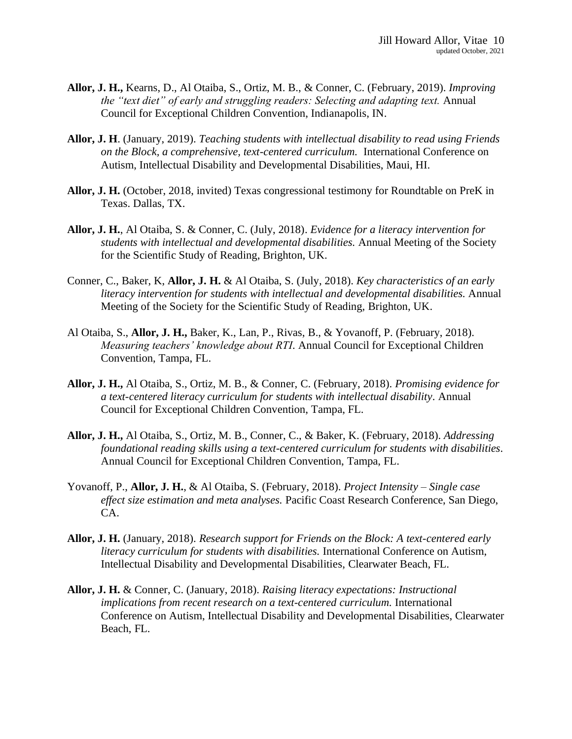- **Allor, J. H.,** Kearns, D., Al Otaiba, S., Ortiz, M. B., & Conner, C. (February, 2019). *Improving the "text diet" of early and struggling readers: Selecting and adapting text.* Annual Council for Exceptional Children Convention, Indianapolis, IN.
- **Allor, J. H**. (January, 2019). *Teaching students with intellectual disability to read using Friends on the Block, a comprehensive, text-centered curriculum.* International Conference on Autism, Intellectual Disability and Developmental Disabilities, Maui, HI.
- **Allor, J. H.** (October, 2018, invited) Texas congressional testimony for Roundtable on PreK in Texas. Dallas, TX.
- **Allor, J. H.**, Al Otaiba, S. & Conner, C. (July, 2018). *Evidence for a literacy intervention for students with intellectual and developmental disabilities.* Annual Meeting of the Society for the Scientific Study of Reading, Brighton, UK.
- Conner, C., Baker, K, **Allor, J. H.** & Al Otaiba, S. (July, 2018). *Key characteristics of an early literacy intervention for students with intellectual and developmental disabilities.* Annual Meeting of the Society for the Scientific Study of Reading, Brighton, UK.
- Al Otaiba, S., **Allor, J. H.,** Baker, K., Lan, P., Rivas, B., & Yovanoff, P. (February, 2018). *Measuring teachers' knowledge about RTI.* Annual Council for Exceptional Children Convention, Tampa, FL.
- **Allor, J. H.,** Al Otaiba, S., Ortiz, M. B., & Conner, C. (February, 2018). *Promising evidence for a text-centered literacy curriculum for students with intellectual disability.* Annual Council for Exceptional Children Convention, Tampa, FL.
- **Allor, J. H.,** Al Otaiba, S., Ortiz, M. B., Conner, C., & Baker, K. (February, 2018). *Addressing foundational reading skills using a text-centered curriculum for students with disabilities.*  Annual Council for Exceptional Children Convention, Tampa, FL.
- Yovanoff, P., **Allor, J. H.**, & Al Otaiba, S. (February, 2018). *Project Intensity – Single case effect size estimation and meta analyses.* Pacific Coast Research Conference, San Diego, CA.
- **Allor, J. H.** (January, 2018). *Research support for Friends on the Block: A text-centered early literacy curriculum for students with disabilities.* International Conference on Autism, Intellectual Disability and Developmental Disabilities, Clearwater Beach, FL.
- **Allor, J. H.** & Conner, C. (January, 2018). *Raising literacy expectations: Instructional implications from recent research on a text-centered curriculum.* International Conference on Autism, Intellectual Disability and Developmental Disabilities, Clearwater Beach, FL.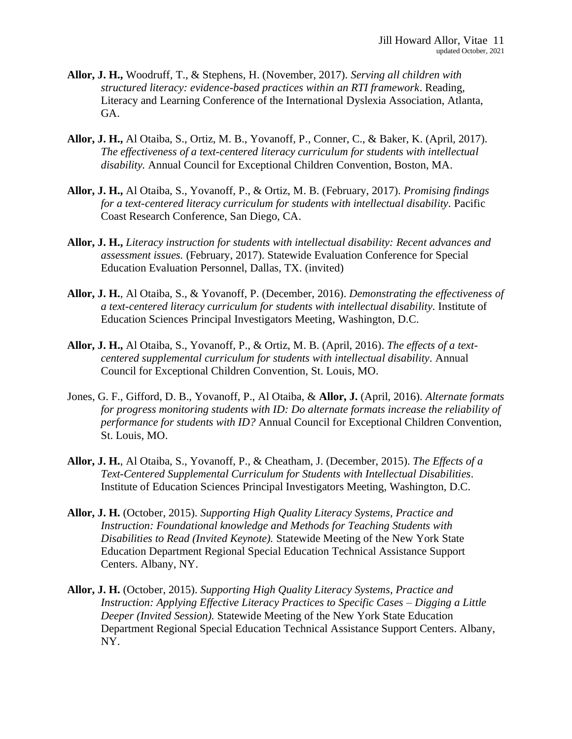- **Allor, J. H.,** Woodruff, T., & Stephens, H. (November, 2017). *Serving all children with structured literacy: evidence-based practices within an RTI framework*. Reading, Literacy and Learning Conference of the International Dyslexia Association, Atlanta, GA.
- **Allor, J. H.,** Al Otaiba, S., Ortiz, M. B., Yovanoff, P., Conner, C., & Baker, K. (April, 2017). *The effectiveness of a text-centered literacy curriculum for students with intellectual disability.* Annual Council for Exceptional Children Convention, Boston, MA.
- **Allor, J. H.,** Al Otaiba, S., Yovanoff, P., & Ortiz, M. B. (February, 2017). *Promising findings for a text-centered literacy curriculum for students with intellectual disability. Pacific* Coast Research Conference, San Diego, CA.
- **Allor, J. H.,** *Literacy instruction for students with intellectual disability: Recent advances and assessment issues.* (February, 2017). Statewide Evaluation Conference for Special Education Evaluation Personnel, Dallas, TX. (invited)
- **Allor, J. H.**, Al Otaiba, S., & Yovanoff, P. (December, 2016). *Demonstrating the effectiveness of a text-centered literacy curriculum for students with intellectual disability.* Institute of Education Sciences Principal Investigators Meeting, Washington, D.C.
- **Allor, J. H.,** Al Otaiba, S., Yovanoff, P., & Ortiz, M. B. (April, 2016). *The effects of a textcentered supplemental curriculum for students with intellectual disability.* Annual Council for Exceptional Children Convention, St. Louis, MO.
- Jones, G. F., Gifford, D. B., Yovanoff, P., Al Otaiba, & **Allor, J.** (April, 2016). *Alternate formats for progress monitoring students with ID: Do alternate formats increase the reliability of performance for students with ID?* Annual Council for Exceptional Children Convention, St. Louis, MO.
- **Allor, J. H.**, Al Otaiba, S., Yovanoff, P., & Cheatham, J. (December, 2015). *The Effects of a Text-Centered Supplemental Curriculum for Students with Intellectual Disabilities.*  Institute of Education Sciences Principal Investigators Meeting, Washington, D.C.
- **Allor, J. H.** (October, 2015). *Supporting High Quality Literacy Systems, Practice and Instruction: Foundational knowledge and Methods for Teaching Students with Disabilities to Read (Invited Keynote).* Statewide Meeting of the New York State Education Department Regional Special Education Technical Assistance Support Centers. Albany, NY.
- **Allor, J. H.** (October, 2015). *Supporting High Quality Literacy Systems, Practice and Instruction: Applying Effective Literacy Practices to Specific Cases – Digging a Little Deeper (Invited Session).* Statewide Meeting of the New York State Education Department Regional Special Education Technical Assistance Support Centers. Albany, NY.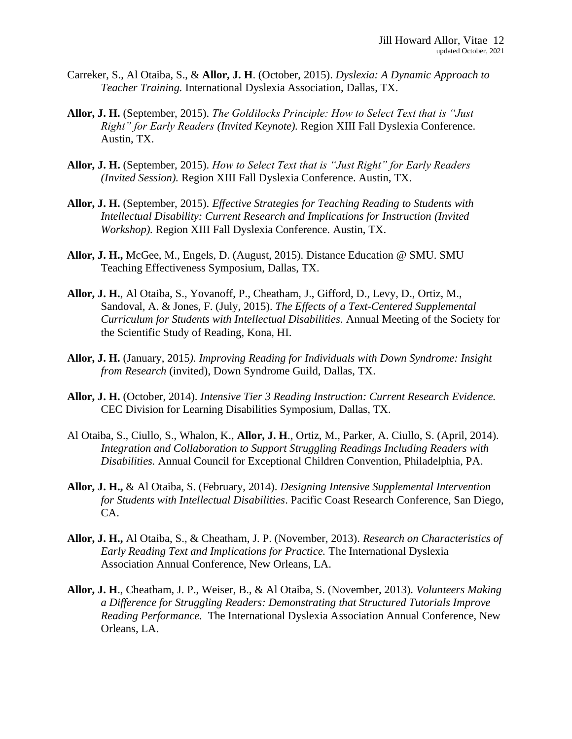- Carreker, S., Al Otaiba, S., & **Allor, J. H**. (October, 2015). *Dyslexia: A Dynamic Approach to Teacher Training.* International Dyslexia Association, Dallas, TX.
- **Allor, J. H.** (September, 2015). *The Goldilocks Principle: How to Select Text that is "Just Right" for Early Readers (Invited Keynote).* Region XIII Fall Dyslexia Conference. Austin, TX.
- **Allor, J. H.** (September, 2015). *How to Select Text that is "Just Right" for Early Readers (Invited Session).* Region XIII Fall Dyslexia Conference. Austin, TX.
- **Allor, J. H.** (September, 2015). *Effective Strategies for Teaching Reading to Students with Intellectual Disability: Current Research and Implications for Instruction (Invited Workshop).* Region XIII Fall Dyslexia Conference. Austin, TX.
- **Allor, J. H.,** McGee, M., Engels, D. (August, 2015). Distance Education @ SMU. SMU Teaching Effectiveness Symposium, Dallas, TX.
- **Allor, J. H.**, Al Otaiba, S., Yovanoff, P., Cheatham, J., Gifford, D., Levy, D., Ortiz, M., Sandoval, A. & Jones, F. (July, 2015). *The Effects of a Text-Centered Supplemental Curriculum for Students with Intellectual Disabilities.* Annual Meeting of the Society for the Scientific Study of Reading, Kona, HI.
- **Allor, J. H.** (January, 2015*). Improving Reading for Individuals with Down Syndrome: Insight from Research* (invited), Down Syndrome Guild, Dallas, TX.
- **Allor, J. H.** (October, 2014). *Intensive Tier 3 Reading Instruction: Current Research Evidence.* CEC Division for Learning Disabilities Symposium, Dallas, TX.
- Al Otaiba, S., Ciullo, S., Whalon, K., **Allor, J. H**., Ortiz, M., Parker, A. Ciullo, S. (April, 2014). *Integration and Collaboration to Support Struggling Readings Including Readers with Disabilities.* Annual Council for Exceptional Children Convention, Philadelphia, PA.
- **Allor, J. H.,** & Al Otaiba, S. (February, 2014). *Designing Intensive Supplemental Intervention for Students with Intellectual Disabilities*. Pacific Coast Research Conference, San Diego, CA.
- **Allor, J. H.,** Al Otaiba, S., & Cheatham, J. P. (November, 2013). *Research on Characteristics of Early Reading Text and Implications for Practice.* The International Dyslexia Association Annual Conference, New Orleans, LA.
- **Allor, J. H**., Cheatham, J. P., Weiser, B., & Al Otaiba, S. (November, 2013). *Volunteers Making a Difference for Struggling Readers: Demonstrating that Structured Tutorials Improve Reading Performance.* The International Dyslexia Association Annual Conference, New Orleans, LA.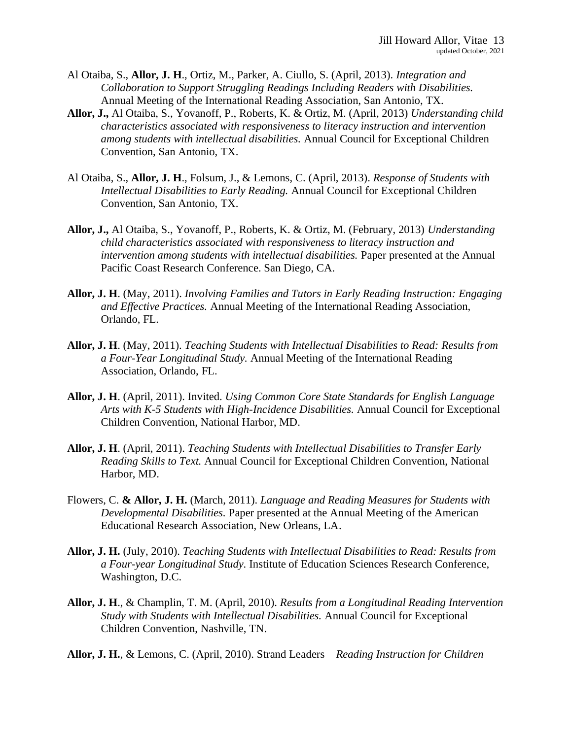- Al Otaiba, S., **Allor, J. H**., Ortiz, M., Parker, A. Ciullo, S. (April, 2013). *Integration and Collaboration to Support Struggling Readings Including Readers with Disabilities.* Annual Meeting of the International Reading Association, San Antonio, TX.
- **Allor, J.,** Al Otaiba, S., Yovanoff, P., Roberts, K. & Ortiz, M. (April, 2013) *Understanding child characteristics associated with responsiveness to literacy instruction and intervention among students with intellectual disabilities.* Annual Council for Exceptional Children Convention, San Antonio, TX.
- Al Otaiba, S., **Allor, J. H**., Folsum, J., & Lemons, C. (April, 2013). *Response of Students with Intellectual Disabilities to Early Reading.* Annual Council for Exceptional Children Convention, San Antonio, TX.
- **Allor, J.,** Al Otaiba, S., Yovanoff, P., Roberts, K. & Ortiz, M. (February, 2013) *Understanding child characteristics associated with responsiveness to literacy instruction and intervention among students with intellectual disabilities.* Paper presented at the Annual Pacific Coast Research Conference. San Diego, CA.
- **Allor, J. H**. (May, 2011). *Involving Families and Tutors in Early Reading Instruction: Engaging and Effective Practices.* Annual Meeting of the International Reading Association, Orlando, FL.
- **Allor, J. H**. (May, 2011). *Teaching Students with Intellectual Disabilities to Read: Results from a Four-Year Longitudinal Study.* Annual Meeting of the International Reading Association, Orlando, FL.
- **Allor, J. H**. (April, 2011). Invited. *Using Common Core State Standards for English Language Arts with K-5 Students with High-Incidence Disabilities.* Annual Council for Exceptional Children Convention, National Harbor, MD.
- **Allor, J. H**. (April, 2011). *Teaching Students with Intellectual Disabilities to Transfer Early Reading Skills to Text.* Annual Council for Exceptional Children Convention, National Harbor, MD.
- Flowers, C. **& Allor, J. H.** (March, 2011). *Language and Reading Measures for Students with Developmental Disabilities.* Paper presented at the Annual Meeting of the American Educational Research Association, New Orleans, LA.
- **Allor, J. H.** (July, 2010). *Teaching Students with Intellectual Disabilities to Read: Results from a Four-year Longitudinal Study.* Institute of Education Sciences Research Conference, Washington, D.C.
- **Allor, J. H**., & Champlin, T. M. (April, 2010). *Results from a Longitudinal Reading Intervention Study with Students with Intellectual Disabilities.* Annual Council for Exceptional Children Convention, Nashville, TN.
- **Allor, J. H.**, & Lemons, C. (April, 2010). Strand Leaders *Reading Instruction for Children*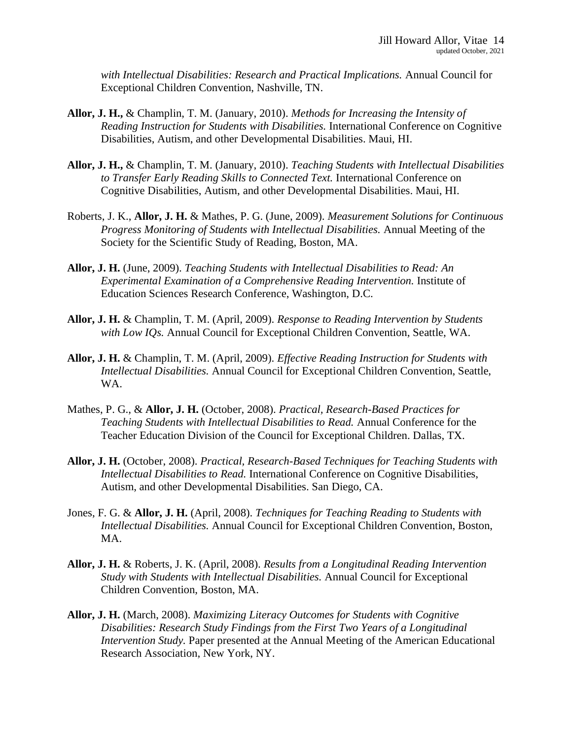*with Intellectual Disabilities: Research and Practical Implications.* Annual Council for Exceptional Children Convention, Nashville, TN.

- **Allor, J. H.,** & Champlin, T. M. (January, 2010). *Methods for Increasing the Intensity of Reading Instruction for Students with Disabilities.* International Conference on Cognitive Disabilities, Autism, and other Developmental Disabilities. Maui, HI.
- **Allor, J. H.,** & Champlin, T. M. (January, 2010). *Teaching Students with Intellectual Disabilities to Transfer Early Reading Skills to Connected Text.* International Conference on Cognitive Disabilities, Autism, and other Developmental Disabilities. Maui, HI.
- Roberts, J. K., **Allor, J. H.** & Mathes, P. G. (June, 2009). *Measurement Solutions for Continuous Progress Monitoring of Students with Intellectual Disabilities.* Annual Meeting of the Society for the Scientific Study of Reading, Boston, MA.
- **Allor, J. H.** (June, 2009). *Teaching Students with Intellectual Disabilities to Read: An Experimental Examination of a Comprehensive Reading Intervention.* Institute of Education Sciences Research Conference, Washington, D.C.
- **Allor, J. H.** & Champlin, T. M. (April, 2009). *Response to Reading Intervention by Students with Low IQs.* Annual Council for Exceptional Children Convention, Seattle, WA.
- **Allor, J. H.** & Champlin, T. M. (April, 2009). *Effective Reading Instruction for Students with Intellectual Disabilities.* Annual Council for Exceptional Children Convention, Seattle, WA.
- Mathes, P. G., & **Allor, J. H.** (October, 2008). *Practical, Research-Based Practices for Teaching Students with Intellectual Disabilities to Read.* Annual Conference for the Teacher Education Division of the Council for Exceptional Children. Dallas, TX.
- **Allor, J. H.** (October, 2008). *Practical, Research-Based Techniques for Teaching Students with Intellectual Disabilities to Read.* International Conference on Cognitive Disabilities, Autism, and other Developmental Disabilities. San Diego, CA.
- Jones, F. G. & **Allor, J. H.** (April, 2008). *Techniques for Teaching Reading to Students with Intellectual Disabilities.* Annual Council for Exceptional Children Convention, Boston, MA.
- **Allor, J. H.** & Roberts, J. K. (April, 2008). *Results from a Longitudinal Reading Intervention Study with Students with Intellectual Disabilities.* Annual Council for Exceptional Children Convention, Boston, MA.
- **Allor, J. H.** (March, 2008). *Maximizing Literacy Outcomes for Students with Cognitive Disabilities: Research Study Findings from the First Two Years of a Longitudinal Intervention Study.* Paper presented at the Annual Meeting of the American Educational Research Association, New York, NY.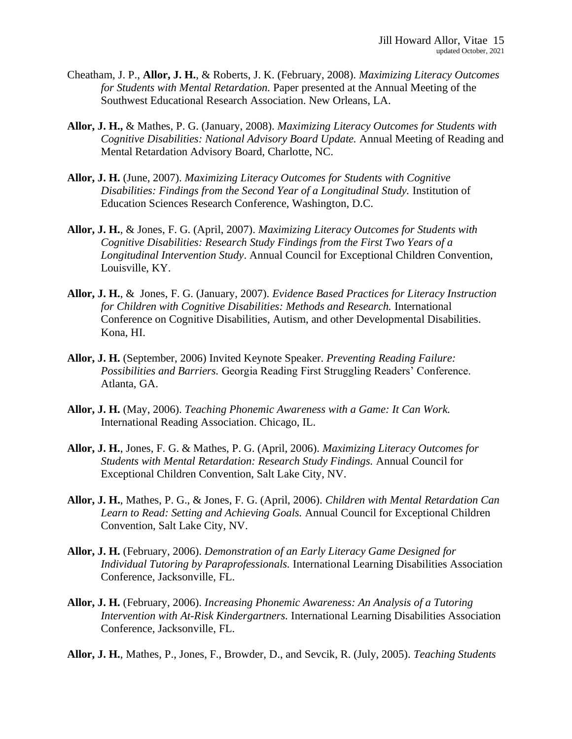- Cheatham, J. P., **Allor, J. H.**, & Roberts, J. K. (February, 2008). *Maximizing Literacy Outcomes for Students with Mental Retardation.* Paper presented at the Annual Meeting of the Southwest Educational Research Association. New Orleans, LA.
- **Allor, J. H.,** & Mathes, P. G. (January, 2008). *Maximizing Literacy Outcomes for Students with Cognitive Disabilities: National Advisory Board Update.* Annual Meeting of Reading and Mental Retardation Advisory Board, Charlotte, NC.
- **Allor, J. H.** (June, 2007). *Maximizing Literacy Outcomes for Students with Cognitive Disabilities: Findings from the Second Year of a Longitudinal Study.* Institution of Education Sciences Research Conference, Washington, D.C.
- **Allor, J. H.**, & Jones, F. G. (April, 2007). *Maximizing Literacy Outcomes for Students with Cognitive Disabilities: Research Study Findings from the First Two Years of a Longitudinal Intervention Study*. Annual Council for Exceptional Children Convention, Louisville, KY.
- **Allor, J. H.**, & Jones, F. G. (January, 2007). *Evidence Based Practices for Literacy Instruction for Children with Cognitive Disabilities: Methods and Research.* International Conference on Cognitive Disabilities, Autism, and other Developmental Disabilities. Kona, HI.
- **Allor, J. H.** (September, 2006) Invited Keynote Speaker. *Preventing Reading Failure: Possibilities and Barriers.* Georgia Reading First Struggling Readers' Conference. Atlanta, GA.
- **Allor, J. H.** (May, 2006). *Teaching Phonemic Awareness with a Game: It Can Work.*  International Reading Association. Chicago, IL.
- **Allor, J. H.**, Jones, F. G. & Mathes, P. G. (April, 2006). *Maximizing Literacy Outcomes for Students with Mental Retardation: Research Study Findings.* Annual Council for Exceptional Children Convention, Salt Lake City, NV.
- **Allor, J. H.**, Mathes, P. G., & Jones, F. G. (April, 2006). *Children with Mental Retardation Can Learn to Read: Setting and Achieving Goals.* Annual Council for Exceptional Children Convention, Salt Lake City, NV.
- **Allor, J. H.** (February, 2006). *Demonstration of an Early Literacy Game Designed for Individual Tutoring by Paraprofessionals.* International Learning Disabilities Association Conference, Jacksonville, FL.
- **Allor, J. H.** (February, 2006). *Increasing Phonemic Awareness: An Analysis of a Tutoring Intervention with At-Risk Kindergartners.* International Learning Disabilities Association Conference, Jacksonville, FL.
- **Allor, J. H.**, Mathes, P., Jones, F., Browder, D., and Sevcik, R. (July, 2005). *Teaching Students*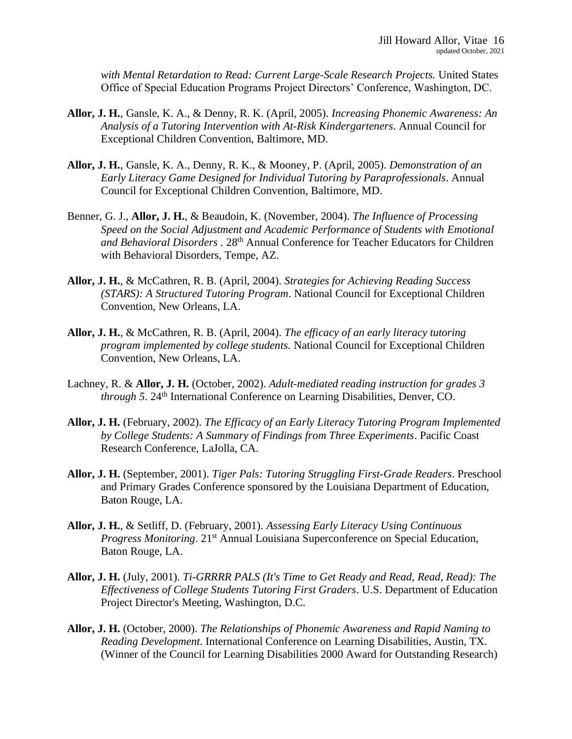*with Mental Retardation to Read: Current Large-Scale Research Projects.* United States Office of Special Education Programs Project Directors' Conference, Washington, DC.

- **Allor, J. H.**, Gansle, K. A., & Denny, R. K. (April, 2005). *Increasing Phonemic Awareness: An Analysis of a Tutoring Intervention with At-Risk Kindergarteners*. Annual Council for Exceptional Children Convention, Baltimore, MD.
- **Allor, J. H.**, Gansle, K. A., Denny, R. K., & Mooney, P. (April, 2005). *Demonstration of an Early Literacy Game Designed for Individual Tutoring by Paraprofessionals*. Annual Council for Exceptional Children Convention, Baltimore, MD.
- Benner, G. J., **Allor, J. H.**, & Beaudoin, K. (November, 2004). *The Influence of Processing Speed on the Social Adjustment and Academic Performance of Students with Emotional and Behavioral Disorders .* 28th Annual Conference for Teacher Educators for Children with Behavioral Disorders, Tempe, AZ.
- **Allor, J. H.**, & McCathren, R. B. (April, 2004). *Strategies for Achieving Reading Success (STARS): A Structured Tutoring Program*. National Council for Exceptional Children Convention, New Orleans, LA.
- **Allor, J. H.**, & McCathren, R. B. (April, 2004). *The efficacy of an early literacy tutoring program implemented by college students.* National Council for Exceptional Children Convention, New Orleans, LA.
- Lachney, R. & **Allor, J. H.** (October, 2002). *Adult-mediated reading instruction for grades 3 through 5.* 24<sup>th</sup> International Conference on Learning Disabilities, Denver, CO.
- **Allor, J. H.** (February, 2002). *The Efficacy of an Early Literacy Tutoring Program Implemented by College Students: A Summary of Findings from Three Experiments*. Pacific Coast Research Conference, LaJolla, CA.
- **Allor, J. H.** (September, 2001). *Tiger Pals: Tutoring Struggling First-Grade Readers*. Preschool and Primary Grades Conference sponsored by the Louisiana Department of Education, Baton Rouge, LA.
- **Allor, J. H.**, & Setliff, D. (February, 2001). *Assessing Early Literacy Using Continuous Progress Monitoring*. 21<sup>st</sup> Annual Louisiana Superconference on Special Education, Baton Rouge, LA.
- **Allor, J. H.** (July, 2001). *Ti-GRRRR PALS (It's Time to Get Ready and Read, Read, Read): The Effectiveness of College Students Tutoring First Graders*. U.S. Department of Education Project Director's Meeting, Washington, D.C.
- **Allor, J. H.** (October, 2000). *The Relationships of Phonemic Awareness and Rapid Naming to Reading Development*. International Conference on Learning Disabilities, Austin, TX. (Winner of the Council for Learning Disabilities 2000 Award for Outstanding Research)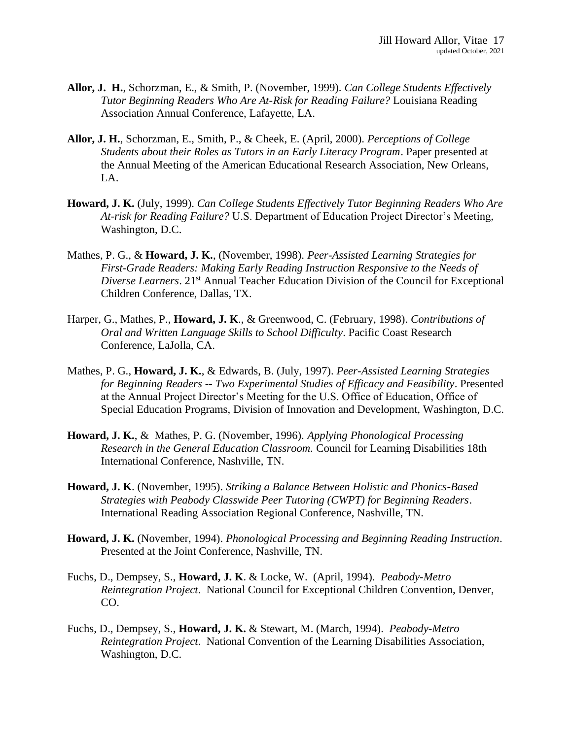- **Allor, J. H.**, Schorzman, E., & Smith, P. (November, 1999). *Can College Students Effectively Tutor Beginning Readers Who Are At-Risk for Reading Failure?* Louisiana Reading Association Annual Conference, Lafayette, LA.
- **Allor, J. H.**, Schorzman, E., Smith, P., & Cheek, E. (April, 2000). *Perceptions of College Students about their Roles as Tutors in an Early Literacy Program*. Paper presented at the Annual Meeting of the American Educational Research Association, New Orleans, LA.
- **Howard, J. K.** (July, 1999). *Can College Students Effectively Tutor Beginning Readers Who Are At-risk for Reading Failure?* U.S. Department of Education Project Director's Meeting, Washington, D.C.
- Mathes, P. G., & **Howard, J. K.**, (November, 1998). *Peer-Assisted Learning Strategies for First-Grade Readers: Making Early Reading Instruction Responsive to the Needs of Diverse Learners*. 21st Annual Teacher Education Division of the Council for Exceptional Children Conference, Dallas, TX.
- Harper, G., Mathes, P., **Howard, J. K**., & Greenwood, C. (February, 1998). *Contributions of Oral and Written Language Skills to School Difficulty*. Pacific Coast Research Conference, LaJolla, CA.
- Mathes, P. G., **Howard, J. K.**, & Edwards, B. (July, 1997). *Peer-Assisted Learning Strategies for Beginning Readers -- Two Experimental Studies of Efficacy and Feasibility*. Presented at the Annual Project Director's Meeting for the U.S. Office of Education, Office of Special Education Programs, Division of Innovation and Development, Washington, D.C.
- **Howard, J. K.**, & Mathes, P. G. (November, 1996). *Applying Phonological Processing Research in the General Education Classroom.* Council for Learning Disabilities 18th International Conference, Nashville, TN.
- **Howard, J. K**. (November, 1995). *Striking a Balance Between Holistic and Phonics-Based Strategies with Peabody Classwide Peer Tutoring (CWPT) for Beginning Readers*. International Reading Association Regional Conference, Nashville, TN.
- **Howard, J. K.** (November, 1994). *Phonological Processing and Beginning Reading Instruction*. Presented at the Joint Conference, Nashville, TN.
- Fuchs, D., Dempsey, S., **Howard, J. K**. & Locke, W. (April, 1994). *Peabody-Metro Reintegration Project*. National Council for Exceptional Children Convention, Denver, CO.
- Fuchs, D., Dempsey, S., **Howard, J. K.** & Stewart, M. (March, 1994). *Peabody-Metro Reintegration Project*. National Convention of the Learning Disabilities Association, Washington, D.C.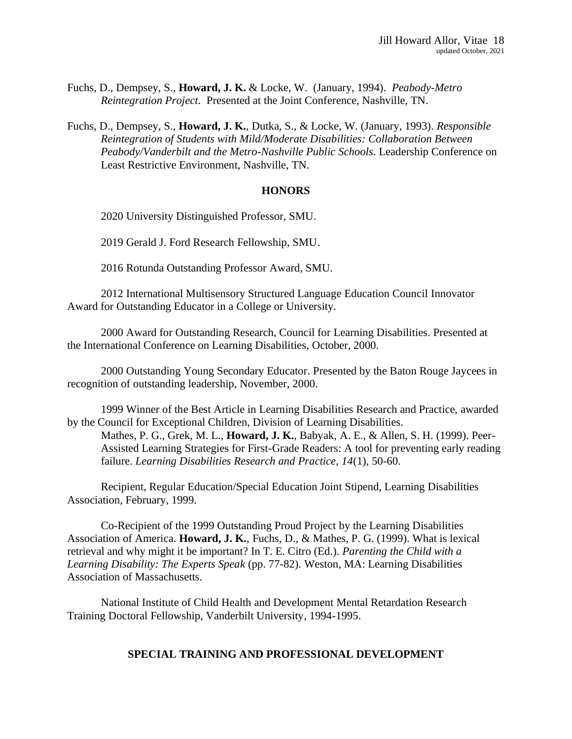- Fuchs, D., Dempsey, S., **Howard, J. K.** & Locke, W. (January, 1994). *Peabody-Metro Reintegration Project*. Presented at the Joint Conference, Nashville, TN.
- Fuchs, D., Dempsey, S., **Howard, J. K.**, Dutka, S., & Locke, W. (January, 1993). *Responsible Reintegration of Students with Mild/Moderate Disabilities: Collaboration Between Peabody/Vanderbilt and the Metro-Nashville Public Schools*. Leadership Conference on Least Restrictive Environment, Nashville, TN.

#### **HONORS**

2020 University Distinguished Professor, SMU.

2019 Gerald J. Ford Research Fellowship, SMU.

2016 Rotunda Outstanding Professor Award, SMU.

2012 International Multisensory Structured Language Education Council Innovator Award for Outstanding Educator in a College or University.

2000 Award for Outstanding Research, Council for Learning Disabilities. Presented at the International Conference on Learning Disabilities, October, 2000.

2000 Outstanding Young Secondary Educator. Presented by the Baton Rouge Jaycees in recognition of outstanding leadership, November, 2000.

1999 Winner of the Best Article in Learning Disabilities Research and Practice, awarded by the Council for Exceptional Children, Division of Learning Disabilities. Mathes, P. G., Grek, M. L., **Howard, J. K.**, Babyak, A. E., & Allen, S. H. (1999). Peer-Assisted Learning Strategies for First-Grade Readers: A tool for preventing early reading failure. *Learning Disabilities Research and Practice, 14*(1), 50-60.

Recipient, Regular Education/Special Education Joint Stipend, Learning Disabilities Association, February, 1999.

Co-Recipient of the 1999 Outstanding Proud Project by the Learning Disabilities Association of America. **Howard, J. K.**, Fuchs, D., & Mathes, P. G. (1999). What is lexical retrieval and why might it be important? In T. E. Citro (Ed.). *Parenting the Child with a Learning Disability: The Experts Speak* (pp. 77-82). Weston, MA: Learning Disabilities Association of Massachusetts.

National Institute of Child Health and Development Mental Retardation Research Training Doctoral Fellowship, Vanderbilt University, 1994-1995.

#### **SPECIAL TRAINING AND PROFESSIONAL DEVELOPMENT**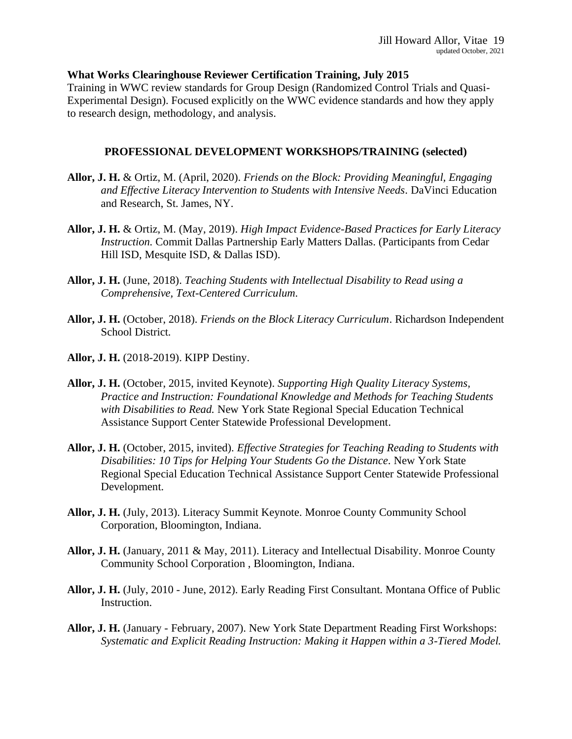## **What Works Clearinghouse Reviewer Certification Training, July 2015**

Training in WWC review standards for Group Design (Randomized Control Trials and Quasi-Experimental Design). Focused explicitly on the WWC evidence standards and how they apply to research design, methodology, and analysis.

## **PROFESSIONAL DEVELOPMENT WORKSHOPS/TRAINING (selected)**

- **Allor, J. H.** & Ortiz, M. (April, 2020). *Friends on the Block: Providing Meaningful, Engaging and Effective Literacy Intervention to Students with Intensive Needs.* DaVinci Education and Research, St. James, NY.
- **Allor, J. H.** & Ortiz, M. (May, 2019). *High Impact Evidence-Based Practices for Early Literacy Instruction.* Commit Dallas Partnership Early Matters Dallas. (Participants from Cedar Hill ISD, Mesquite ISD, & Dallas ISD).
- **Allor, J. H.** (June, 2018). *Teaching Students with Intellectual Disability to Read using a Comprehensive, Text-Centered Curriculum.*
- **Allor, J. H.** (October, 2018). *Friends on the Block Literacy Curriculum*. Richardson Independent School District.
- **Allor, J. H.** (2018-2019). KIPP Destiny.
- **Allor, J. H.** (October, 2015, invited Keynote). *Supporting High Quality Literacy Systems, Practice and Instruction: Foundational Knowledge and Methods for Teaching Students with Disabilities to Read.* New York State Regional Special Education Technical Assistance Support Center Statewide Professional Development.
- **Allor, J. H.** (October, 2015, invited). *Effective Strategies for Teaching Reading to Students with Disabilities: 10 Tips for Helping Your Students Go the Distance.* New York State Regional Special Education Technical Assistance Support Center Statewide Professional Development.
- **Allor, J. H.** (July, 2013). Literacy Summit Keynote. Monroe County Community School Corporation, Bloomington, Indiana.
- **Allor, J. H.** (January, 2011 & May, 2011). Literacy and Intellectual Disability. Monroe County Community School Corporation , Bloomington, Indiana.
- **Allor, J. H.** (July, 2010 June, 2012). Early Reading First Consultant. Montana Office of Public Instruction.
- **Allor, J. H.** (January February, 2007). New York State Department Reading First Workshops: *Systematic and Explicit Reading Instruction: Making it Happen within a 3-Tiered Model.*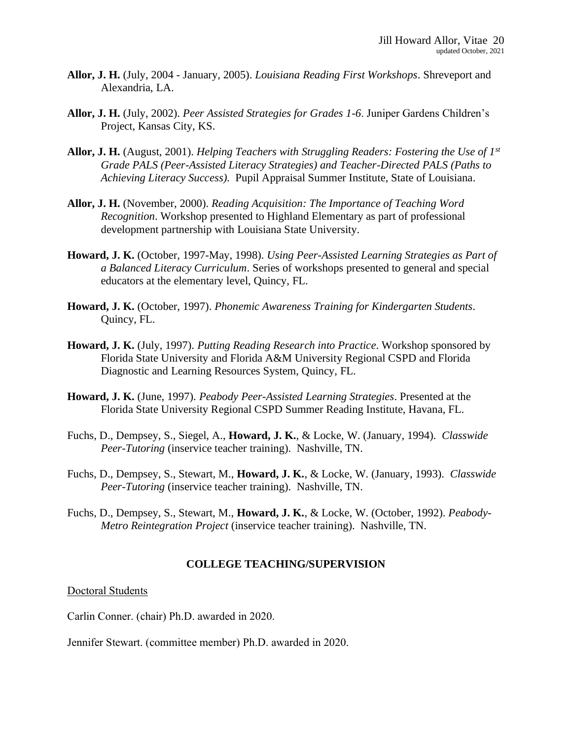- **Allor, J. H.** (July, 2004 January, 2005). *Louisiana Reading First Workshops*. Shreveport and Alexandria, LA.
- **Allor, J. H.** (July, 2002). *Peer Assisted Strategies for Grades 1-6*. Juniper Gardens Children's Project, Kansas City, KS.
- **Allor, J. H.** (August, 2001). *Helping Teachers with Struggling Readers: Fostering the Use of 1st Grade PALS (Peer-Assisted Literacy Strategies) and Teacher-Directed PALS (Paths to Achieving Literacy Success).* Pupil Appraisal Summer Institute, State of Louisiana.
- **Allor, J. H.** (November, 2000). *Reading Acquisition: The Importance of Teaching Word Recognition*. Workshop presented to Highland Elementary as part of professional development partnership with Louisiana State University.
- **Howard, J. K.** (October, 1997-May, 1998). *Using Peer-Assisted Learning Strategies as Part of a Balanced Literacy Curriculum*. Series of workshops presented to general and special educators at the elementary level, Quincy, FL.
- **Howard, J. K.** (October, 1997). *Phonemic Awareness Training for Kindergarten Students*. Quincy, FL.
- **Howard, J. K.** (July, 1997). *Putting Reading Research into Practice*. Workshop sponsored by Florida State University and Florida A&M University Regional CSPD and Florida Diagnostic and Learning Resources System, Quincy, FL.
- **Howard, J. K.** (June, 1997). *Peabody Peer-Assisted Learning Strategies*. Presented at the Florida State University Regional CSPD Summer Reading Institute, Havana, FL.
- Fuchs, D., Dempsey, S., Siegel, A., **Howard, J. K.**, & Locke, W. (January, 1994). *Classwide Peer-Tutoring* (inservice teacher training). Nashville, TN.
- Fuchs, D., Dempsey, S., Stewart, M., **Howard, J. K.**, & Locke, W. (January, 1993). *Classwide Peer-Tutoring* (inservice teacher training). Nashville, TN.
- Fuchs, D., Dempsey, S., Stewart, M., **Howard, J. K.**, & Locke, W. (October, 1992). *Peabody-Metro Reintegration Project* (inservice teacher training). Nashville, TN.

### **COLLEGE TEACHING/SUPERVISION**

### Doctoral Students

Carlin Conner. (chair) Ph.D. awarded in 2020.

Jennifer Stewart. (committee member) Ph.D. awarded in 2020.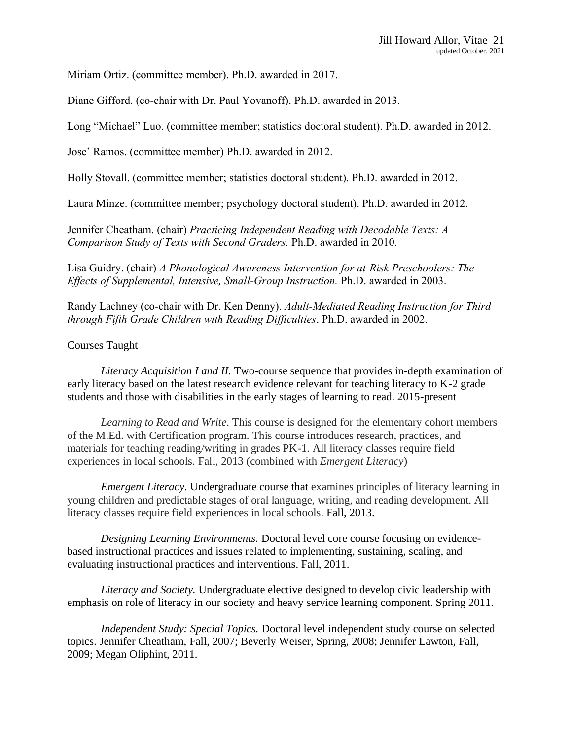Miriam Ortiz. (committee member). Ph.D. awarded in 2017.

Diane Gifford. (co-chair with Dr. Paul Yovanoff). Ph.D. awarded in 2013.

Long "Michael" Luo. (committee member; statistics doctoral student). Ph.D. awarded in 2012.

Jose' Ramos. (committee member) Ph.D. awarded in 2012.

Holly Stovall. (committee member; statistics doctoral student). Ph.D. awarded in 2012.

Laura Minze. (committee member; psychology doctoral student). Ph.D. awarded in 2012.

Jennifer Cheatham. (chair) *Practicing Independent Reading with Decodable Texts: A Comparison Study of Texts with Second Graders.* Ph.D. awarded in 2010.

Lisa Guidry. (chair) *A Phonological Awareness Intervention for at-Risk Preschoolers: The Effects of Supplemental, Intensive, Small-Group Instruction.* Ph.D. awarded in 2003.

Randy Lachney (co-chair with Dr. Ken Denny). *Adult-Mediated Reading Instruction for Third through Fifth Grade Children with Reading Difficulties*. Ph.D. awarded in 2002.

#### Courses Taught

*Literacy Acquisition I and II.* Two-course sequence that provides in-depth examination of early literacy based on the latest research evidence relevant for teaching literacy to K-2 grade students and those with disabilities in the early stages of learning to read. 2015-present

*Learning to Read and Write*. This course is designed for the elementary cohort members of the M.Ed. with Certification program. This course introduces research, practices, and materials for teaching reading/writing in grades PK-1. All literacy classes require field experiences in local schools. Fall, 2013 (combined with *Emergent Literacy*)

*Emergent Literacy.* Undergraduate course that examines principles of literacy learning in young children and predictable stages of oral language, writing, and reading development. All literacy classes require field experiences in local schools. Fall, 2013.

*Designing Learning Environments.* Doctoral level core course focusing on evidencebased instructional practices and issues related to implementing, sustaining, scaling, and evaluating instructional practices and interventions. Fall, 2011.

*Literacy and Society.* Undergraduate elective designed to develop civic leadership with emphasis on role of literacy in our society and heavy service learning component. Spring 2011.

*Independent Study: Special Topics.* Doctoral level independent study course on selected topics. Jennifer Cheatham, Fall, 2007; Beverly Weiser, Spring, 2008; Jennifer Lawton, Fall, 2009; Megan Oliphint, 2011.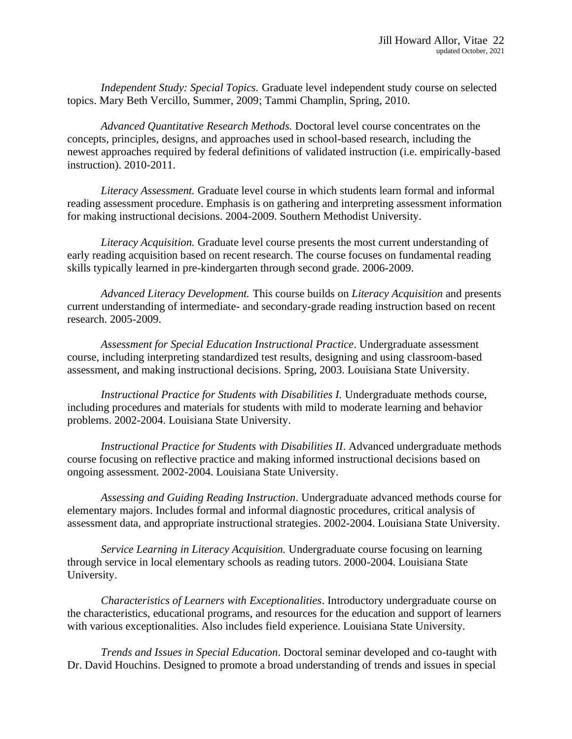*Independent Study: Special Topics.* Graduate level independent study course on selected topics. Mary Beth Vercillo, Summer, 2009; Tammi Champlin, Spring, 2010.

*Advanced Quantitative Research Methods.* Doctoral level course concentrates on the concepts, principles, designs, and approaches used in school-based research, including the newest approaches required by federal definitions of validated instruction (i.e. empirically-based instruction). 2010-2011.

*Literacy Assessment.* Graduate level course in which students learn formal and informal reading assessment procedure. Emphasis is on gathering and interpreting assessment information for making instructional decisions. 2004-2009. Southern Methodist University.

*Literacy Acquisition.* Graduate level course presents the most current understanding of early reading acquisition based on recent research. The course focuses on fundamental reading skills typically learned in pre-kindergarten through second grade. 2006-2009.

*Advanced Literacy Development.* This course builds on *Literacy Acquisition* and presents current understanding of intermediate- and secondary-grade reading instruction based on recent research. 2005-2009.

*Assessment for Special Education Instructional Practice*. Undergraduate assessment course, including interpreting standardized test results, designing and using classroom-based assessment, and making instructional decisions. Spring, 2003. Louisiana State University.

*Instructional Practice for Students with Disabilities I.* Undergraduate methods course, including procedures and materials for students with mild to moderate learning and behavior problems. 2002-2004. Louisiana State University.

*Instructional Practice for Students with Disabilities II*. Advanced undergraduate methods course focusing on reflective practice and making informed instructional decisions based on ongoing assessment. 2002-2004. Louisiana State University.

*Assessing and Guiding Reading Instruction*. Undergraduate advanced methods course for elementary majors. Includes formal and informal diagnostic procedures, critical analysis of assessment data, and appropriate instructional strategies. 2002-2004. Louisiana State University.

*Service Learning in Literacy Acquisition.* Undergraduate course focusing on learning through service in local elementary schools as reading tutors. 2000-2004. Louisiana State University.

*Characteristics of Learners with Exceptionalities*. Introductory undergraduate course on the characteristics, educational programs, and resources for the education and support of learners with various exceptionalities. Also includes field experience. Louisiana State University.

*Trends and Issues in Special Education*. Doctoral seminar developed and co-taught with Dr. David Houchins. Designed to promote a broad understanding of trends and issues in special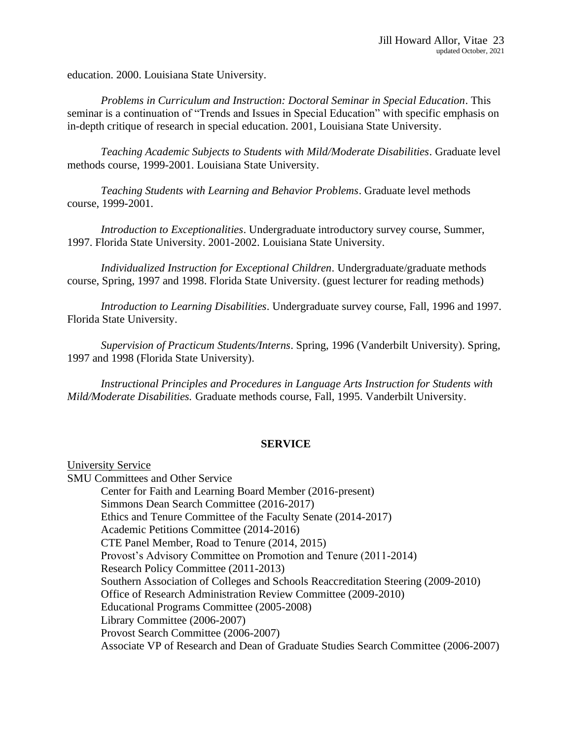education. 2000. Louisiana State University.

*Problems in Curriculum and Instruction: Doctoral Seminar in Special Education*. This seminar is a continuation of "Trends and Issues in Special Education" with specific emphasis on in-depth critique of research in special education. 2001, Louisiana State University.

*Teaching Academic Subjects to Students with Mild/Moderate Disabilities*. Graduate level methods course, 1999-2001. Louisiana State University.

*Teaching Students with Learning and Behavior Problems*. Graduate level methods course, 1999-2001.

*Introduction to Exceptionalities*. Undergraduate introductory survey course, Summer, 1997. Florida State University. 2001-2002. Louisiana State University.

*Individualized Instruction for Exceptional Children*. Undergraduate/graduate methods course, Spring, 1997 and 1998. Florida State University. (guest lecturer for reading methods)

*Introduction to Learning Disabilities*. Undergraduate survey course, Fall, 1996 and 1997. Florida State University.

*Supervision of Practicum Students/Interns*. Spring, 1996 (Vanderbilt University). Spring, 1997 and 1998 (Florida State University).

*Instructional Principles and Procedures in Language Arts Instruction for Students with Mild/Moderate Disabilities.* Graduate methods course, Fall, 1995. Vanderbilt University.

#### **SERVICE**

University Service SMU Committees and Other Service Center for Faith and Learning Board Member (2016-present) Simmons Dean Search Committee (2016-2017) Ethics and Tenure Committee of the Faculty Senate (2014-2017) Academic Petitions Committee (2014-2016) CTE Panel Member, Road to Tenure (2014, 2015) Provost's Advisory Committee on Promotion and Tenure (2011-2014) Research Policy Committee (2011-2013) Southern Association of Colleges and Schools Reaccreditation Steering (2009-2010) Office of Research Administration Review Committee (2009-2010) Educational Programs Committee (2005-2008) Library Committee (2006-2007) Provost Search Committee (2006-2007) Associate VP of Research and Dean of Graduate Studies Search Committee (2006-2007)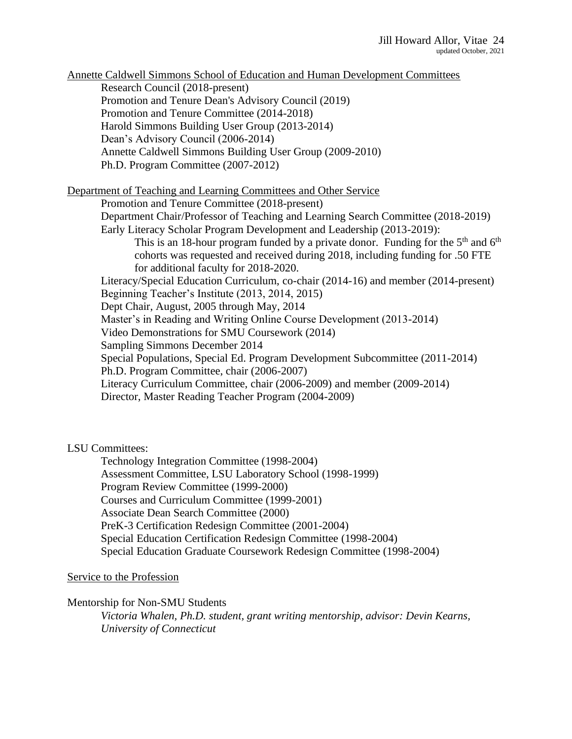Annette Caldwell Simmons School of Education and Human Development Committees Research Council (2018-present) Promotion and Tenure Dean's Advisory Council (2019) Promotion and Tenure Committee (2014-2018) Harold Simmons Building User Group (2013-2014) Dean's Advisory Council (2006-2014) Annette Caldwell Simmons Building User Group (2009-2010) Ph.D. Program Committee (2007-2012) Department of Teaching and Learning Committees and Other Service Promotion and Tenure Committee (2018-present) Department Chair/Professor of Teaching and Learning Search Committee (2018-2019) Early Literacy Scholar Program Development and Leadership (2013-2019): This is an 18-hour program funded by a private donor. Funding for the  $5<sup>th</sup>$  and  $6<sup>th</sup>$ cohorts was requested and received during 2018, including funding for .50 FTE for additional faculty for 2018-2020. Literacy/Special Education Curriculum, co-chair (2014-16) and member (2014-present) Beginning Teacher's Institute (2013, 2014, 2015) Dept Chair, August, 2005 through May, 2014 Master's in Reading and Writing Online Course Development (2013-2014) Video Demonstrations for SMU Coursework (2014) Sampling Simmons December 2014 Special Populations, Special Ed. Program Development Subcommittee (2011-2014) Ph.D. Program Committee, chair (2006-2007) Literacy Curriculum Committee, chair (2006-2009) and member (2009-2014) Director, Master Reading Teacher Program (2004-2009)

# LSU Committees:

Technology Integration Committee (1998-2004) Assessment Committee, LSU Laboratory School (1998-1999) Program Review Committee (1999-2000) Courses and Curriculum Committee (1999-2001) Associate Dean Search Committee (2000) PreK-3 Certification Redesign Committee (2001-2004) Special Education Certification Redesign Committee (1998-2004) Special Education Graduate Coursework Redesign Committee (1998-2004)

#### Service to the Profession

Mentorship for Non-SMU Students

*Victoria Whalen, Ph.D. student, grant writing mentorship, advisor: Devin Kearns, University of Connecticut*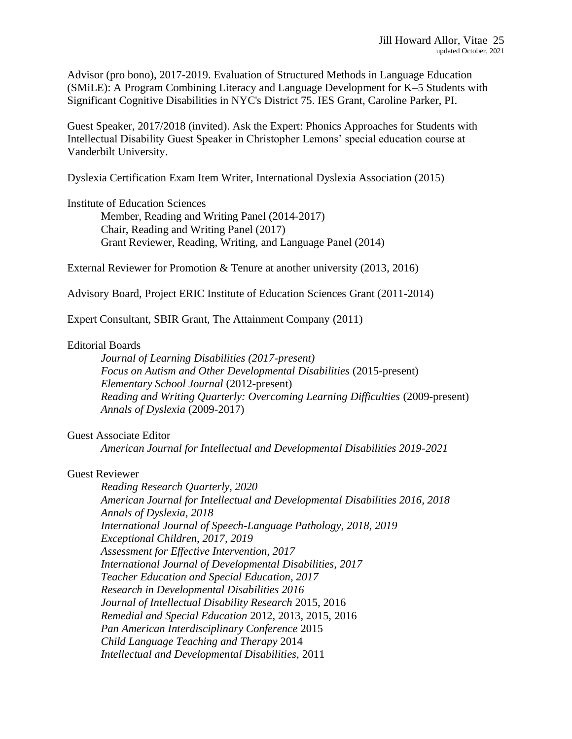Advisor (pro bono), 2017-2019. Evaluation of Structured Methods in Language Education (SMiLE): A Program Combining Literacy and Language Development for K–5 Students with Significant Cognitive Disabilities in NYC's District 75. IES Grant, Caroline Parker, PI.

Guest Speaker, 2017/2018 (invited). Ask the Expert: Phonics Approaches for Students with Intellectual Disability Guest Speaker in Christopher Lemons' special education course at Vanderbilt University.

Dyslexia Certification Exam Item Writer, International Dyslexia Association (2015)

Institute of Education Sciences

Member, Reading and Writing Panel (2014-2017) Chair, Reading and Writing Panel (2017) Grant Reviewer, Reading, Writing, and Language Panel (2014)

External Reviewer for Promotion & Tenure at another university (2013, 2016)

Advisory Board, Project ERIC Institute of Education Sciences Grant (2011-2014)

Expert Consultant, SBIR Grant, The Attainment Company (2011)

# Editorial Boards

*Journal of Learning Disabilities (2017-present) Focus on Autism and Other Developmental Disabilities* (2015-present) *Elementary School Journal* (2012-present) *Reading and Writing Quarterly: Overcoming Learning Difficulties* (2009-present) *Annals of Dyslexia* (2009-2017)

#### Guest Associate Editor

*American Journal for Intellectual and Developmental Disabilities 2019-2021*

### Guest Reviewer

*Reading Research Quarterly, 2020 American Journal for Intellectual and Developmental Disabilities 2016, 2018 Annals of Dyslexia, 2018 International Journal of Speech-Language Pathology, 2018, 2019 Exceptional Children, 2017, 2019 Assessment for Effective Intervention, 2017 International Journal of Developmental Disabilities, 2017 Teacher Education and Special Education, 2017 Research in Developmental Disabilities 2016 Journal of Intellectual Disability Research* 2015, 2016 *Remedial and Special Education* 2012, 2013, 2015, 2016 *Pan American Interdisciplinary Conference* 2015 *Child Language Teaching and Therapy* 2014 *Intellectual and Developmental Disabilities,* 2011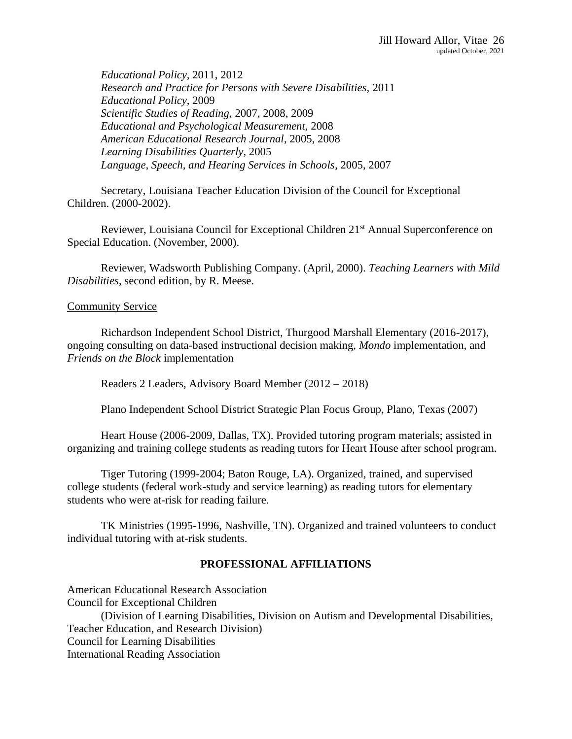*Educational Policy,* 2011, 2012 *Research and Practice for Persons with Severe Disabilities,* 2011 *Educational Policy,* 2009 *Scientific Studies of Reading,* 2007, 2008, 2009 *Educational and Psychological Measurement,* 2008 *American Educational Research Journal*, 2005, 2008 *Learning Disabilities Quarterly*, 2005 *Language, Speech, and Hearing Services in Schools*, 2005, 2007

Secretary, Louisiana Teacher Education Division of the Council for Exceptional Children. (2000-2002).

Reviewer, Louisiana Council for Exceptional Children 21<sup>st</sup> Annual Superconference on Special Education. (November, 2000).

Reviewer, Wadsworth Publishing Company. (April, 2000). *Teaching Learners with Mild Disabilities*, second edition, by R. Meese.

#### Community Service

Richardson Independent School District, Thurgood Marshall Elementary (2016-2017), ongoing consulting on data-based instructional decision making, *Mondo* implementation, and *Friends on the Block* implementation

Readers 2 Leaders, Advisory Board Member (2012 – 2018)

Plano Independent School District Strategic Plan Focus Group, Plano, Texas (2007)

Heart House (2006-2009, Dallas, TX). Provided tutoring program materials; assisted in organizing and training college students as reading tutors for Heart House after school program.

Tiger Tutoring (1999-2004; Baton Rouge, LA). Organized, trained, and supervised college students (federal work-study and service learning) as reading tutors for elementary students who were at-risk for reading failure.

TK Ministries (1995-1996, Nashville, TN). Organized and trained volunteers to conduct individual tutoring with at-risk students.

#### **PROFESSIONAL AFFILIATIONS**

American Educational Research Association Council for Exceptional Children (Division of Learning Disabilities, Division on Autism and Developmental Disabilities, Teacher Education, and Research Division) Council for Learning Disabilities International Reading Association